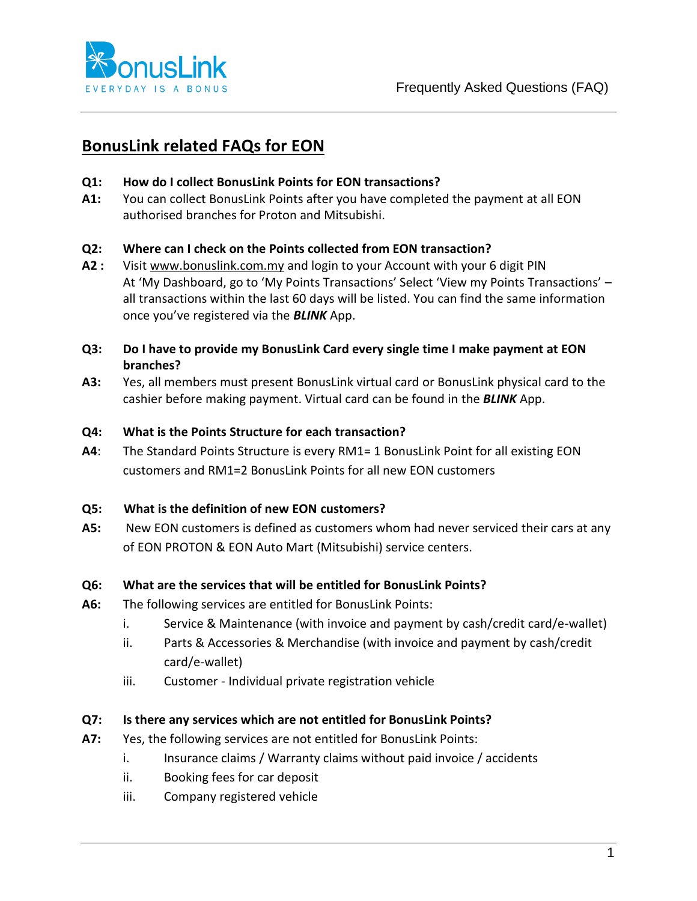

# **BonusLink related FAQs for EON**

## **Q1: How do I collect BonusLink Points for EON transactions?**

**A1:** You can collect BonusLink Points after you have completed the payment at all EON authorised branches for Proton and Mitsubishi.

## **Q2: Where can I check on the Points collected from EON transaction?**

- **A2 :** Visi[t www.bonuslink.com.my](http://www.bonuslink.com.my/) and login to your Account with your 6 digit PIN At 'My Dashboard, go to 'My Points Transactions' Select 'View my Points Transactions' – all transactions within the last 60 days will be listed. You can find the same information once you've registered via the *BLINK* App.
- **Q3: Do I have to provide my BonusLink Card every single time I make payment at EON branches?**
- **A3:** Yes, all members must present BonusLink virtual card or BonusLink physical card to the cashier before making payment. Virtual card can be found in the *BLINK* App.

## **Q4: What is the Points Structure for each transaction?**

**A4**: The Standard Points Structure is every RM1= 1 BonusLink Point for all existing EON customers and RM1=2 BonusLink Points for all new EON customers

#### **Q5: What is the definition of new EON customers?**

**A5:** New EON customers is defined as customers whom had never serviced their cars at any of EON PROTON & EON Auto Mart (Mitsubishi) service centers.

# **Q6: What are the services that will be entitled for BonusLink Points?**

- **A6:** The following services are entitled for BonusLink Points:
	- i. Service & Maintenance (with invoice and payment by cash/credit card/e-wallet)
	- ii. Parts & Accessories & Merchandise (with invoice and payment by cash/credit card/e-wallet)
	- iii. Customer Individual private registration vehicle

# **Q7: Is there any services which are not entitled for BonusLink Points?**

- **A7:** Yes, the following services are not entitled for BonusLink Points:
	- i. Insurance claims / Warranty claims without paid invoice / accidents
	- ii. Booking fees for car deposit
	- iii. Company registered vehicle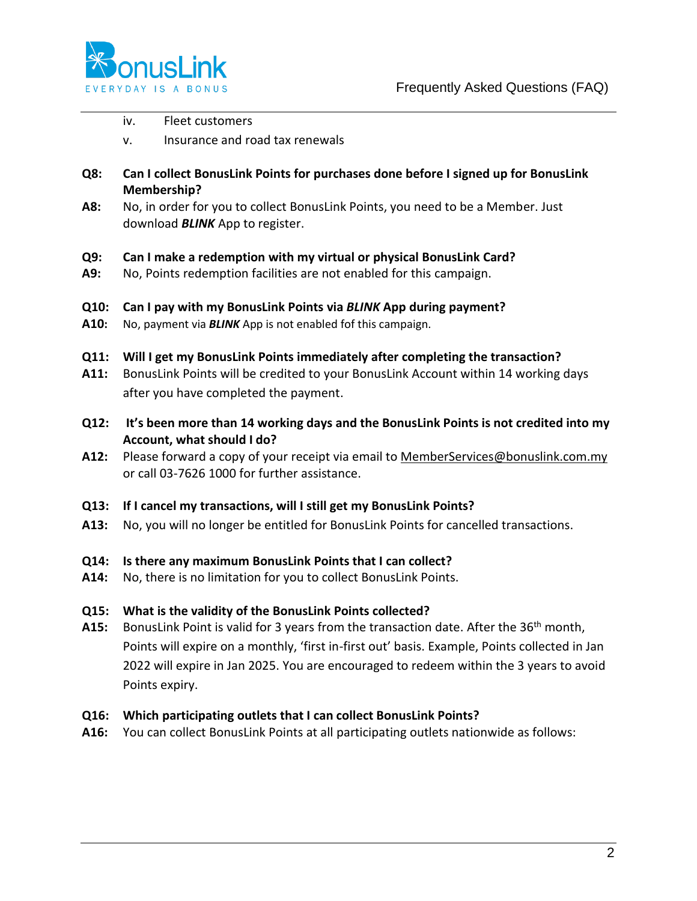

- iv. Fleet customers
- v. Insurance and road tax renewals
- **Q8: Can I collect BonusLink Points for purchases done before I signed up for BonusLink Membership?**
- **A8:** No, in order for you to collect BonusLink Points, you need to be a Member. Just download *BLINK* App to register.

#### **Q9: Can I make a redemption with my virtual or physical BonusLink Card?**

- **A9:** No, Points redemption facilities are not enabled for this campaign.
- **Q10: Can I pay with my BonusLink Points via** *BLINK* **App during payment?**
- **A10:** No, payment via *BLINK* App is not enabled fof this campaign.
- **Q11: Will I get my BonusLink Points immediately after completing the transaction?**
- **A11:** BonusLink Points will be credited to your BonusLink Account within 14 working days after you have completed the payment.
- **Q12: It's been more than 14 working days and the BonusLink Points is not credited into my Account, what should I do?**
- **A12:** Please forward a copy of your receipt via email to [MemberServices@bonuslink.com.my](mailto:MemberServices@bonuslink.com.my) or call 03-7626 1000 for further assistance.
- **Q13: If I cancel my transactions, will I still get my BonusLink Points?**
- **A13:** No, you will no longer be entitled for BonusLink Points for cancelled transactions.

#### **Q14: Is there any maximum BonusLink Points that I can collect?**

**A14:** No, there is no limitation for you to collect BonusLink Points.

#### **Q15: What is the validity of the BonusLink Points collected?**

**A15:** BonusLink Point is valid for 3 years from the transaction date. After the 36th month, Points will expire on a monthly, 'first in-first out' basis. Example, Points collected in Jan 2022 will expire in Jan 2025. You are encouraged to redeem within the 3 years to avoid Points expiry.

#### **Q16: Which participating outlets that I can collect BonusLink Points?**

**A16:** You can collect BonusLink Points at all participating outlets nationwide as follows: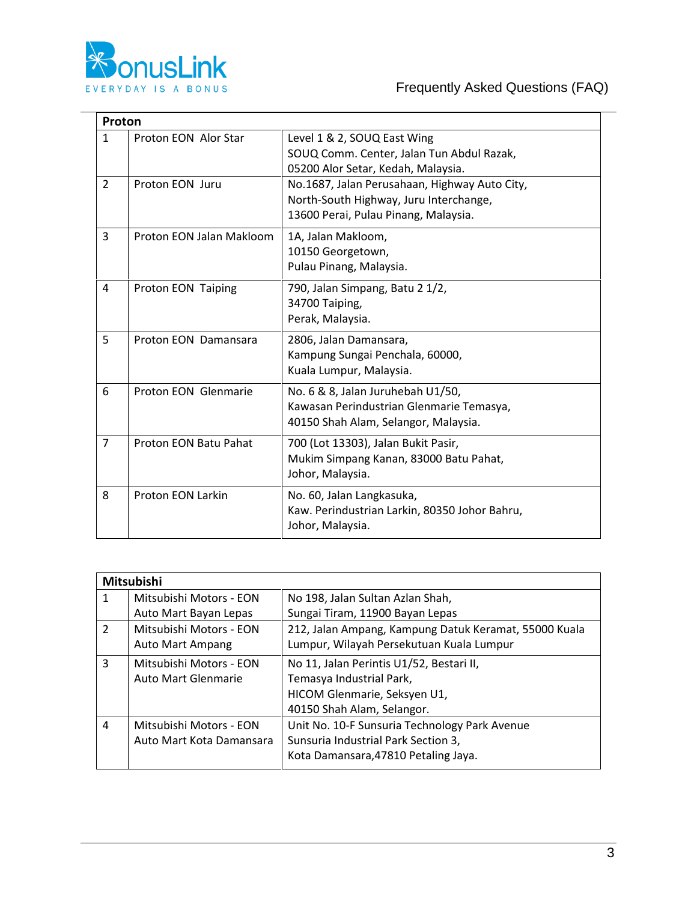

|                | Proton                   |                                                                                                                                 |  |  |  |
|----------------|--------------------------|---------------------------------------------------------------------------------------------------------------------------------|--|--|--|
| $\mathbf{1}$   | Proton EON Alor Star     | Level 1 & 2, SOUQ East Wing<br>SOUQ Comm. Center, Jalan Tun Abdul Razak,<br>05200 Alor Setar, Kedah, Malaysia.                  |  |  |  |
| $\overline{2}$ | Proton EON Juru          | No.1687, Jalan Perusahaan, Highway Auto City,<br>North-South Highway, Juru Interchange,<br>13600 Perai, Pulau Pinang, Malaysia. |  |  |  |
| 3              | Proton EON Jalan Makloom | 1A, Jalan Makloom,<br>10150 Georgetown,<br>Pulau Pinang, Malaysia.                                                              |  |  |  |
| 4              | Proton EON Taiping       | 790, Jalan Simpang, Batu 2 1/2,<br>34700 Taiping,<br>Perak, Malaysia.                                                           |  |  |  |
| 5              | Proton EON Damansara     | 2806, Jalan Damansara,<br>Kampung Sungai Penchala, 60000,<br>Kuala Lumpur, Malaysia.                                            |  |  |  |
| 6              | Proton EON Glenmarie     | No. 6 & 8, Jalan Juruhebah U1/50,<br>Kawasan Perindustrian Glenmarie Temasya,<br>40150 Shah Alam, Selangor, Malaysia.           |  |  |  |
| 7              | Proton EON Batu Pahat    | 700 (Lot 13303), Jalan Bukit Pasir,<br>Mukim Simpang Kanan, 83000 Batu Pahat,<br>Johor, Malaysia.                               |  |  |  |
| 8              | <b>Proton EON Larkin</b> | No. 60, Jalan Langkasuka,<br>Kaw. Perindustrian Larkin, 80350 Johor Bahru,<br>Johor, Malaysia.                                  |  |  |  |

| <b>Mitsubishi</b> |                          |                                                       |  |  |
|-------------------|--------------------------|-------------------------------------------------------|--|--|
| 1                 | Mitsubishi Motors - EON  | No 198, Jalan Sultan Azlan Shah,                      |  |  |
|                   | Auto Mart Bayan Lepas    | Sungai Tiram, 11900 Bayan Lepas                       |  |  |
| $\overline{2}$    | Mitsubishi Motors - EON  | 212, Jalan Ampang, Kampung Datuk Keramat, 55000 Kuala |  |  |
|                   | <b>Auto Mart Ampang</b>  | Lumpur, Wilayah Persekutuan Kuala Lumpur              |  |  |
| 3                 | Mitsubishi Motors - EON  | No 11, Jalan Perintis U1/52, Bestari II,              |  |  |
|                   | Auto Mart Glenmarie      | Temasya Industrial Park,                              |  |  |
|                   |                          | HICOM Glenmarie, Seksyen U1,                          |  |  |
|                   |                          | 40150 Shah Alam, Selangor.                            |  |  |
| 4                 | Mitsubishi Motors - EON  | Unit No. 10-F Sunsuria Technology Park Avenue         |  |  |
|                   | Auto Mart Kota Damansara | Sunsuria Industrial Park Section 3,                   |  |  |
|                   |                          | Kota Damansara, 47810 Petaling Jaya.                  |  |  |